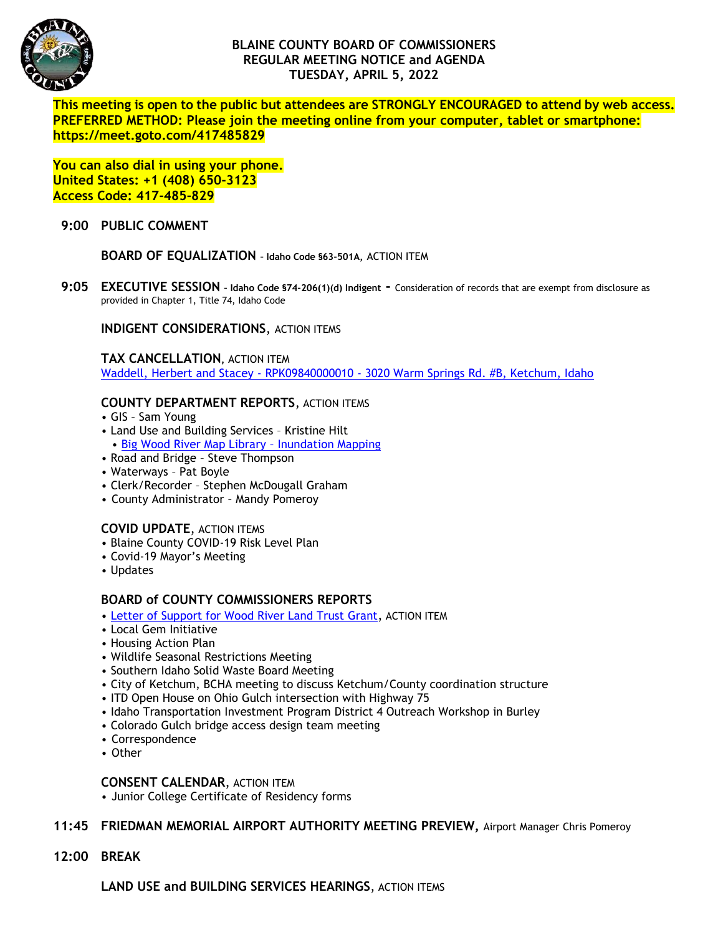

# **BLAINE COUNTY BOARD OF COMMISSIONERS REGULAR MEETING NOTICE and AGENDA TUESDAY, APRIL 5, 2022**

**This meeting is open to the public but attendees are STRONGLY ENCOURAGED to attend by web access. PREFERRED METHOD: Please join the meeting online from your computer, tablet or smartphone: https://meet.goto.com/417485829**

**You can also dial in using your phone. United States: +1 (408) 650-3123 Access Code: 417-485-829**

#### **9:00 PUBLIC COMMENT**

**BOARD OF EQUALIZATION – Idaho Code §63-501A,** ACTION ITEM

**9:05 EXECUTIVE SESSION – Idaho Code §74-206(1)(d) Indigent -** Consideration of records that are exempt from disclosure as provided in Chapter 1, Title 74, Idaho Code

**INDIGENT CONSIDERATIONS**, ACTION ITEMS

**TAX CANCELLATION,** ACTION ITEM Waddell, Herbert and Stacey - RPK09840000010 - [3020 Warm Springs Rd. #B, Ketchum, Idaho](https://www.co.blaine.id.us/DocumentCenter/View/18362/tax-cancellation)

### **COUNTY DEPARTMENT REPORTS**, ACTION ITEMS

- GIS Sam Young
- Land Use and Building Services Kristine Hilt
- [Big Wood River Map Library](https://www.co.blaine.id.us/DocumentCenter/View/18361/Memo-re-BWR-Map-Library-Inundation-Mapping-BCC-Update)  Inundation Mapping
- Road and Bridge Steve Thompson
- Waterways Pat Boyle
- Clerk/Recorder Stephen McDougall Graham
- County Administrator Mandy Pomeroy

# **COVID UPDATE**, ACTION ITEMS

- Blaine County COVID-19 Risk Level Plan
- Covid-19 Mayor's Meeting
- Updates

# **BOARD of COUNTY COMMISSIONERS REPORTS**

- [Letter of Support for Wood River Land Trust Grant](https://www.co.blaine.id.us/DocumentCenter/View/18364/WRLT-grant-support-letter), ACTION ITEM
- Local Gem Initiative
- Housing Action Plan
- Wildlife Seasonal Restrictions Meeting
- Southern Idaho Solid Waste Board Meeting
- City of Ketchum, BCHA meeting to discuss Ketchum/County coordination structure
- ITD Open House on Ohio Gulch intersection with Highway 75
- Idaho Transportation Investment Program District 4 Outreach Workshop in Burley
- Colorado Gulch bridge access design team meeting
- Correspondence
- Other

#### **CONSENT CALENDAR**, ACTION ITEM

• Junior College Certificate of Residency forms

# **11:45 FRIEDMAN MEMORIAL AIRPORT AUTHORITY MEETING PREVIEW,** Airport Manager Chris Pomeroy

**12:00 BREAK**

**LAND USE and BUILDING SERVICES HEARINGS**, ACTION ITEMS